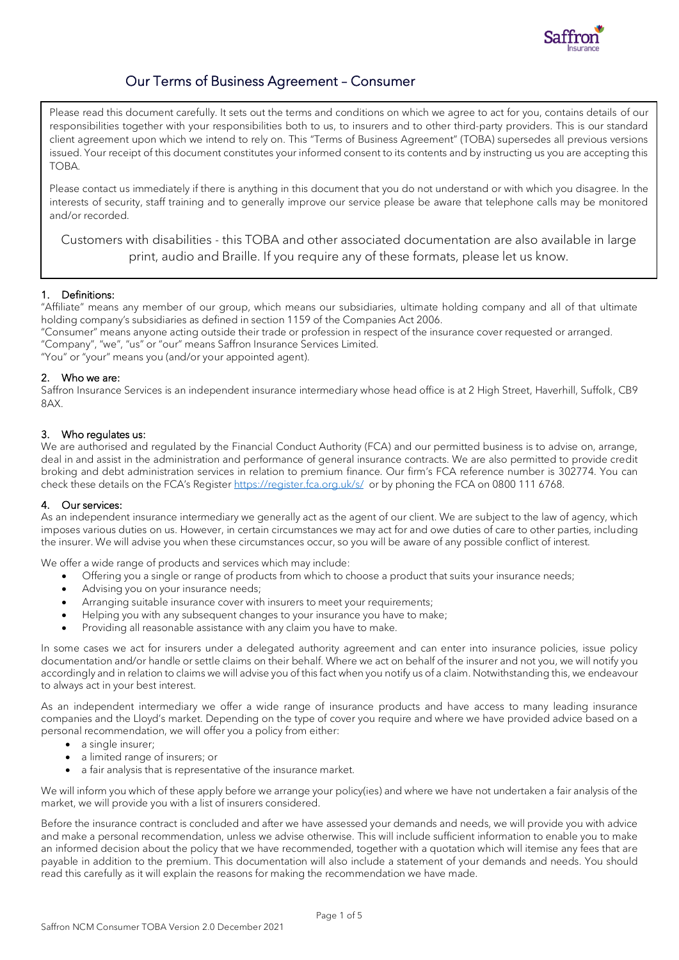

# Our Terms of Business Agreement – Consumer

Please read this document carefully. It sets out the terms and conditions on which we agree to act for you, contains details of our responsibilities together with your responsibilities both to us, to insurers and to other third-party providers. This is our standard client agreement upon which we intend to rely on. This "Terms of Business Agreement" (TOBA) supersedes all previous versions issued. Your receipt of this document constitutes your informed consent to its contents and by instructing us you are accepting this TOBA.

Please contact us immediately if there is anything in this document that you do not understand or with which you disagree. In the interests of security, staff training and to generally improve our service please be aware that telephone calls may be monitored and/or recorded.

Customers with disabilities - this TOBA and other associated documentation are also available in large print, audio and Braille. If you require any of these formats, please let us know.

# 1. Definitions:

"Affiliate" means any member of our group, which means our subsidiaries, ultimate holding company and all of that ultimate holding company's subsidiaries as defined in section 1159 of the Companies Act 2006.

"Consumer" means anyone acting outside their trade or profession in respect of the insurance cover requested or arranged. "Company", "we", "us" or "our" means Saffron Insurance Services Limited.

"You" or "your" means you (and/or your appointed agent).

#### 2. Who we are:

Saffron Insurance Services is an independent insurance intermediary whose head office is at 2 High Street, Haverhill, Suffolk, CB9 8AX.

#### 3. Who regulates us:

We are authorised and regulated by the Financial Conduct Authority (FCA) and our permitted business is to advise on, arrange, deal in and assist in the administration and performance of general insurance contracts. We are also permitted to provide credit broking and debt administration services in relation to premium finance. Our firm's FCA reference number is 302774. You can check these details on the FCA's Register <https://register.fca.org.uk/s/>or by phoning the FCA on 0800 111 6768.

#### 4. Our services:

As an independent insurance intermediary we generally act as the agent of our client. We are subject to the law of agency, which imposes various duties on us. However, in certain circumstances we may act for and owe duties of care to other parties, including the insurer. We will advise you when these circumstances occur, so you will be aware of any possible conflict of interest.

We offer a wide range of products and services which may include:

- Offering you a single or range of products from which to choose a product that suits your insurance needs;
- Advising you on your insurance needs;
- Arranging suitable insurance cover with insurers to meet your requirements;
- Helping you with any subsequent changes to your insurance you have to make;
- Providing all reasonable assistance with any claim you have to make.

In some cases we act for insurers under a delegated authority agreement and can enter into insurance policies, issue policy documentation and/or handle or settle claims on their behalf. Where we act on behalf of the insurer and not you, we will notify you accordingly and in relation to claims we will advise you of this fact when you notify us of a claim. Notwithstanding this, we endeavour to always act in your best interest.

As an independent intermediary we offer a wide range of insurance products and have access to many leading insurance companies and the Lloyd's market. Depending on the type of cover you require and where we have provided advice based on a personal recommendation, we will offer you a policy from either:

- a single insurer;
- a limited range of insurers; or
- a fair analysis that is representative of the insurance market.

We will inform you which of these apply before we arrange your policy(ies) and where we have not undertaken a fair analysis of the market, we will provide you with a list of insurers considered.

Before the insurance contract is concluded and after we have assessed your demands and needs, we will provide you with advice and make a personal recommendation, unless we advise otherwise. This will include sufficient information to enable you to make an informed decision about the policy that we have recommended, together with a quotation which will itemise any fees that are payable in addition to the premium. This documentation will also include a statement of your demands and needs. You should read this carefully as it will explain the reasons for making the recommendation we have made.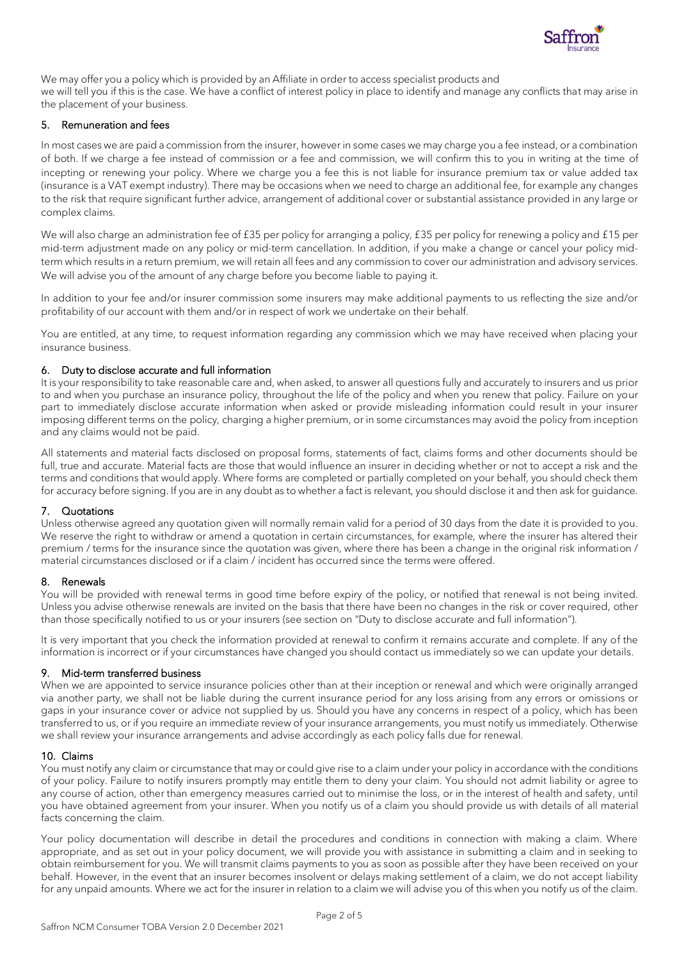

We may offer you a policy which is provided by an Affiliate in order to access specialist products and we will tell you if this is the case. We have a conflict of interest policy in place to identify and manage any conflicts that may arise in the placement of your business.

# 5. Remuneration and fees

In most cases we are paid a commission from the insurer, however in some cases we may charge you a fee instead, or a combination of both. If we charge a fee instead of commission or a fee and commission, we will confirm this to you in writing at the time of incepting or renewing your policy. Where we charge you a fee this is not liable for insurance premium tax or value added tax (insurance is a VAT exempt industry). There may be occasions when we need to charge an additional fee, for example any changes to the risk that require significant further advice, arrangement of additional cover or substantial assistance provided in any large or complex claims.

We will also charge an administration fee of £35 per policy for arranging a policy, £35 per policy for renewing a policy and £15 per mid-term adjustment made on any policy or mid-term cancellation. In addition, if you make a change or cancel your policy midterm which results in a return premium, we will retain all fees and any commission to cover our administration and advisory services. We will advise you of the amount of any charge before you become liable to paying it.

In addition to your fee and/or insurer commission some insurers may make additional payments to us reflecting the size and/or profitability of our account with them and/or in respect of work we undertake on their behalf.

You are entitled, at any time, to request information regarding any commission which we may have received when placing your insurance business.

# 6. Duty to disclose accurate and full information

It is your responsibility to take reasonable care and, when asked, to answer all questions fully and accurately to insurers and us prior to and when you purchase an insurance policy, throughout the life of the policy and when you renew that policy. Failure on your part to immediately disclose accurate information when asked or provide misleading information could result in your insurer imposing different terms on the policy, charging a higher premium, or in some circumstances may avoid the policy from inception and any claims would not be paid.

All statements and material facts disclosed on proposal forms, statements of fact, claims forms and other documents should be full, true and accurate. Material facts are those that would influence an insurer in deciding whether or not to accept a risk and the terms and conditions that would apply. Where forms are completed or partially completed on your behalf, you should check them for accuracy before signing. If you are in any doubt as to whether a fact is relevant, you should disclose it and then ask for guidance.

# 7. Quotations

Unless otherwise agreed any quotation given will normally remain valid for a period of 30 days from the date it is provided to you. We reserve the right to withdraw or amend a quotation in certain circumstances, for example, where the insurer has altered their premium / terms for the insurance since the quotation was given, where there has been a change in the original risk information / material circumstances disclosed or if a claim / incident has occurred since the terms were offered.

# 8. Renewals

You will be provided with renewal terms in good time before expiry of the policy, or notified that renewal is not being invited. Unless you advise otherwise renewals are invited on the basis that there have been no changes in the risk or cover required, other than those specifically notified to us or your insurers (see section on "Duty to disclose accurate and full information").

It is very important that you check the information provided at renewal to confirm it remains accurate and complete. If any of the information is incorrect or if your circumstances have changed you should contact us immediately so we can update your details.

# 9. Mid-term transferred business

When we are appointed to service insurance policies other than at their inception or renewal and which were originally arranged via another party, we shall not be liable during the current insurance period for any loss arising from any errors or omissions or gaps in your insurance cover or advice not supplied by us. Should you have any concerns in respect of a policy, which has been transferred to us, or if you require an immediate review of your insurance arrangements, you must notify us immediately. Otherwise we shall review your insurance arrangements and advise accordingly as each policy falls due for renewal.

# 10. Claims

You must notify any claim or circumstance that may or could give rise to a claim under your policy in accordance with the conditions of your policy. Failure to notify insurers promptly may entitle them to deny your claim. You should not admit liability or agree to any course of action, other than emergency measures carried out to minimise the loss, or in the interest of health and safety, until you have obtained agreement from your insurer. When you notify us of a claim you should provide us with details of all material facts concerning the claim.

Your policy documentation will describe in detail the procedures and conditions in connection with making a claim. Where appropriate, and as set out in your policy document, we will provide you with assistance in submitting a claim and in seeking to obtain reimbursement for you. We will transmit claims payments to you as soon as possible after they have been received on your behalf. However, in the event that an insurer becomes insolvent or delays making settlement of a claim, we do not accept liability for any unpaid amounts. Where we act for the insurer in relation to a claim we will advise you of this when you notify us of the claim.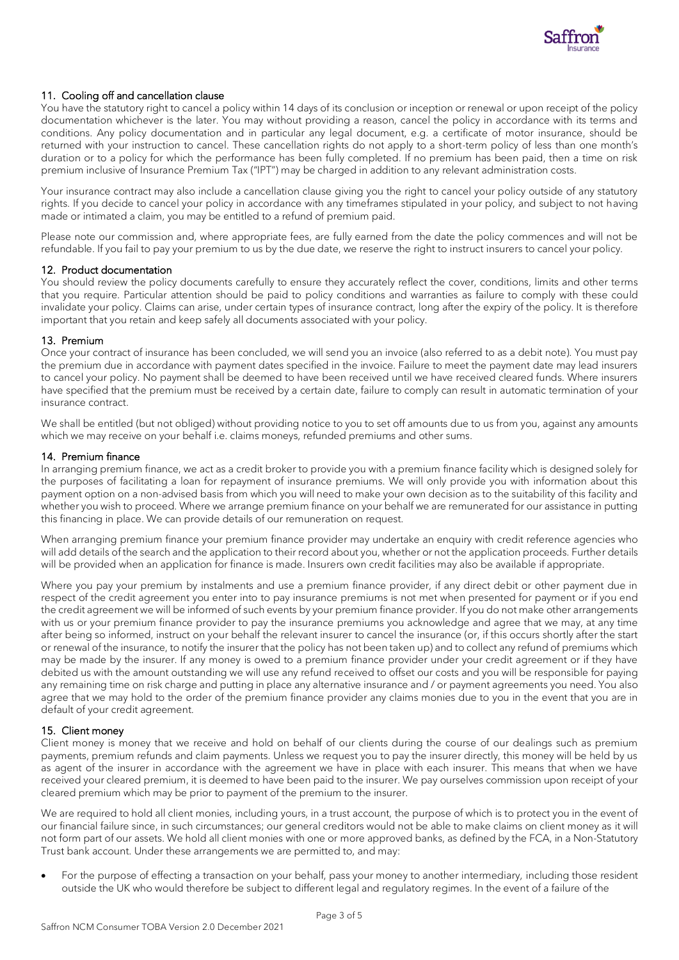

# 11. Cooling off and cancellation clause

You have the statutory right to cancel a policy within 14 days of its conclusion or inception or renewal or upon receipt of the policy documentation whichever is the later. You may without providing a reason, cancel the policy in accordance with its terms and conditions. Any policy documentation and in particular any legal document, e.g. a certificate of motor insurance, should be returned with your instruction to cancel. These cancellation rights do not apply to a short-term policy of less than one month's duration or to a policy for which the performance has been fully completed. If no premium has been paid, then a time on risk premium inclusive of Insurance Premium Tax ("IPT") may be charged in addition to any relevant administration costs.

Your insurance contract may also include a cancellation clause giving you the right to cancel your policy outside of any statutory rights. If you decide to cancel your policy in accordance with any timeframes stipulated in your policy, and subject to not having made or intimated a claim, you may be entitled to a refund of premium paid.

Please note our commission and, where appropriate fees, are fully earned from the date the policy commences and will not be refundable. If you fail to pay your premium to us by the due date, we reserve the right to instruct insurers to cancel your policy.

#### 12. Product documentation

You should review the policy documents carefully to ensure they accurately reflect the cover, conditions, limits and other terms that you require. Particular attention should be paid to policy conditions and warranties as failure to comply with these could invalidate your policy. Claims can arise, under certain types of insurance contract, long after the expiry of the policy. It is therefore important that you retain and keep safely all documents associated with your policy.

#### 13. Premium

Once your contract of insurance has been concluded, we will send you an invoice (also referred to as a debit note). You must pay the premium due in accordance with payment dates specified in the invoice. Failure to meet the payment date may lead insurers to cancel your policy. No payment shall be deemed to have been received until we have received cleared funds. Where insurers have specified that the premium must be received by a certain date, failure to comply can result in automatic termination of your insurance contract.

We shall be entitled (but not obliged) without providing notice to you to set off amounts due to us from you, against any amounts which we may receive on your behalf i.e. claims moneys, refunded premiums and other sums.

#### 14. Premium finance

In arranging premium finance, we act as a credit broker to provide you with a premium finance facility which is designed solely for the purposes of facilitating a loan for repayment of insurance premiums. We will only provide you with information about this payment option on a non-advised basis from which you will need to make your own decision as to the suitability of this facility and whether you wish to proceed. Where we arrange premium finance on your behalf we are remunerated for our assistance in putting this financing in place. We can provide details of our remuneration on request.

When arranging premium finance your premium finance provider may undertake an enquiry with credit reference agencies who will add details of the search and the application to their record about you, whether or not the application proceeds. Further details will be provided when an application for finance is made. Insurers own credit facilities may also be available if appropriate.

Where you pay your premium by instalments and use a premium finance provider, if any direct debit or other payment due in respect of the credit agreement you enter into to pay insurance premiums is not met when presented for payment or if you end the credit agreement we will be informed of such events by your premium finance provider. If you do not make other arrangements with us or your premium finance provider to pay the insurance premiums you acknowledge and agree that we may, at any time after being so informed, instruct on your behalf the relevant insurer to cancel the insurance (or, if this occurs shortly after the start or renewal of the insurance, to notify the insurer that the policy has not been taken up) and to collect any refund of premiums which may be made by the insurer. If any money is owed to a premium finance provider under your credit agreement or if they have debited us with the amount outstanding we will use any refund received to offset our costs and you will be responsible for paying any remaining time on risk charge and putting in place any alternative insurance and / or payment agreements you need. You also agree that we may hold to the order of the premium finance provider any claims monies due to you in the event that you are in default of your credit agreement.

# 15. Client money

Client money is money that we receive and hold on behalf of our clients during the course of our dealings such as premium payments, premium refunds and claim payments. Unless we request you to pay the insurer directly, this money will be held by us as agent of the insurer in accordance with the agreement we have in place with each insurer. This means that when we have received your cleared premium, it is deemed to have been paid to the insurer. We pay ourselves commission upon receipt of your cleared premium which may be prior to payment of the premium to the insurer.

We are required to hold all client monies, including yours, in a trust account, the purpose of which is to protect you in the event of our financial failure since, in such circumstances; our general creditors would not be able to make claims on client money as it will not form part of our assets. We hold all client monies with one or more approved banks, as defined by the FCA, in a Non-Statutory Trust bank account. Under these arrangements we are permitted to, and may:

• For the purpose of effecting a transaction on your behalf, pass your money to another intermediary, including those resident outside the UK who would therefore be subject to different legal and regulatory regimes. In the event of a failure of the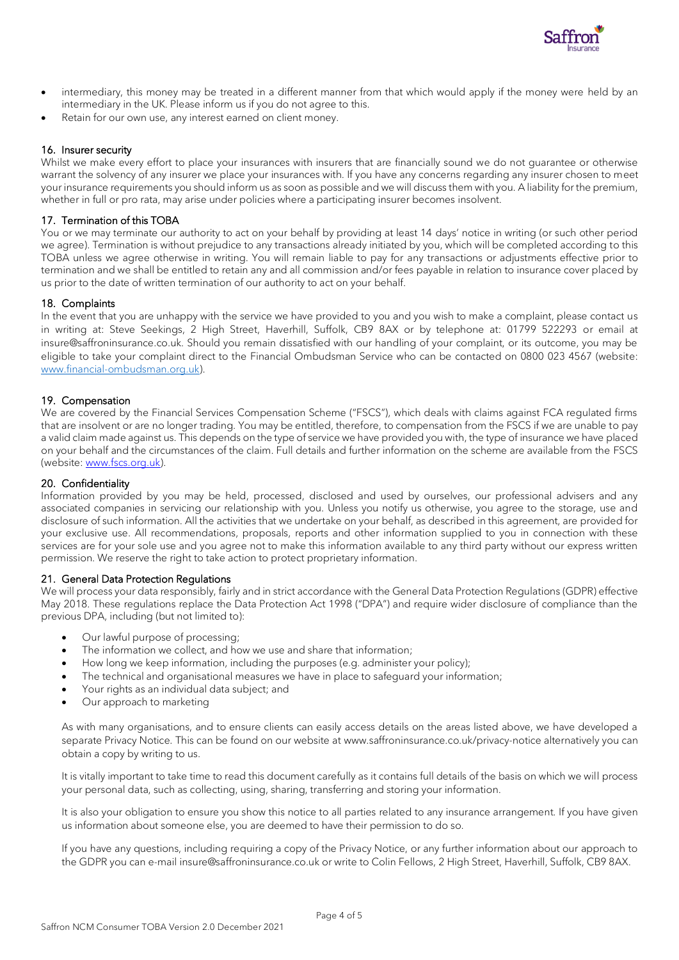

- intermediary, this money may be treated in a different manner from that which would apply if the money were held by an intermediary in the UK. Please inform us if you do not agree to this.
- Retain for our own use, any interest earned on client money.

# 16. Insurer security

Whilst we make every effort to place your insurances with insurers that are financially sound we do not guarantee or otherwise warrant the solvency of any insurer we place your insurances with. If you have any concerns regarding any insurer chosen to meet your insurance requirements you should inform us as soon as possible and we will discuss them with you. A liability for the premium, whether in full or pro rata, may arise under policies where a participating insurer becomes insolvent.

# 17. Termination of this TOBA

You or we may terminate our authority to act on your behalf by providing at least 14 days' notice in writing (or such other period we agree). Termination is without prejudice to any transactions already initiated by you, which will be completed according to this TOBA unless we agree otherwise in writing. You will remain liable to pay for any transactions or adjustments effective prior to termination and we shall be entitled to retain any and all commission and/or fees payable in relation to insurance cover placed by us prior to the date of written termination of our authority to act on your behalf.

# 18. Complaints

In the event that you are unhappy with the service we have provided to you and you wish to make a complaint, please contact us in writing at: Steve Seekings, 2 High Street, Haverhill, Suffolk, CB9 8AX or by telephone at: 01799 522293 or email at insure@saffroninsurance.co.uk. Should you remain dissatisfied with our handling of your complaint, or its outcome, you may be eligible to take your complaint direct to the Financial Ombudsman Service who can be contacted on 0800 023 4567 (website: [www.financial-ombudsman.org.uk\)](http://www.financial-ombudsman.org.uk/).

# 19. Compensation

We are covered by the Financial Services Compensation Scheme ("FSCS"), which deals with claims against FCA regulated firms that are insolvent or are no longer trading. You may be entitled, therefore, to compensation from the FSCS if we are unable to pay a valid claim made against us. This depends on the type of service we have provided you with, the type of insurance we have placed on your behalf and the circumstances of the claim. Full details and further information on the scheme are available from the FSCS (website: [www.fscs.org.uk\)](http://www.fscs.org.uk/).

# 20. Confidentiality

Information provided by you may be held, processed, disclosed and used by ourselves, our professional advisers and any associated companies in servicing our relationship with you. Unless you notify us otherwise, you agree to the storage, use and disclosure of such information. All the activities that we undertake on your behalf, as described in this agreement, are provided for your exclusive use. All recommendations, proposals, reports and other information supplied to you in connection with these services are for your sole use and you agree not to make this information available to any third party without our express written permission. We reserve the right to take action to protect proprietary information.

# 21. General Data Protection Regulations

We will process your data responsibly, fairly and in strict accordance with the General Data Protection Regulations (GDPR) effective May 2018. These regulations replace the Data Protection Act 1998 ("DPA") and require wider disclosure of compliance than the previous DPA, including (but not limited to):

- Our lawful purpose of processing;
- The information we collect, and how we use and share that information;
- How long we keep information, including the purposes (e.g. administer your policy);
- The technical and organisational measures we have in place to safeguard your information;
- Your rights as an individual data subject; and
- Our approach to marketing

As with many organisations, and to ensure clients can easily access details on the areas listed above, we have developed a separate Privacy Notice. This can be found on our website at www.saffroninsurance.co.uk/privacy-notice alternatively you can obtain a copy by writing to us.

It is vitally important to take time to read this document carefully as it contains full details of the basis on which we will process your personal data, such as collecting, using, sharing, transferring and storing your information.

It is also your obligation to ensure you show this notice to all parties related to any insurance arrangement. If you have given us information about someone else, you are deemed to have their permission to do so.

If you have any questions, including requiring a copy of the Privacy Notice, or any further information about our approach to the GDPR you can e-mail insure@saffroninsurance.co.uk or write to Colin Fellows, 2 High Street, Haverhill, Suffolk, CB9 8AX.